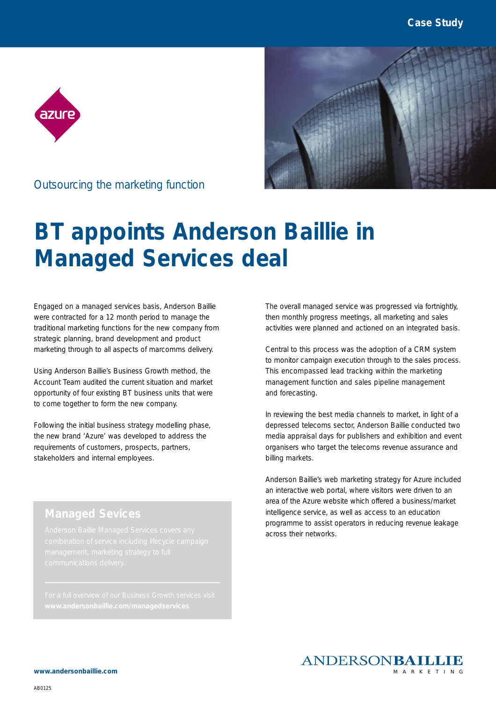



Outsourcing the marketing function

## **BT appoints Anderson Baillie in Managed Services deal**

Engaged on a managed services basis, Anderson Baillie were contracted for a 12 month period to manage the traditional marketing functions for the new company from strategic planning, brand development and product marketing through to all aspects of marcomms delivery.

Using Anderson Baillie's Business Growth method, the Account Team audited the current situation and market opportunity of four existing BT business units that were to come together to form the new company.

Following the initial business strategy modelling phase, the new brand 'Azure' was developed to address the requirements of customers, prospects, partners, stakeholders and internal employees.

The overall managed service was progressed via fortnightly, then monthly progress meetings, all marketing and sales activities were planned and actioned on an integrated basis.

Central to this process was the adoption of a CRM system to monitor campaign execution through to the sales process. This encompassed lead tracking within the marketing management function and sales pipeline management and forecasting.

In reviewing the best media channels to market, in light of a depressed telecoms sector, Anderson Baillie conducted two media appraisal days for publishers and exhibition and event organisers who target the telecoms revenue assurance and billing markets.

Anderson Baillie's web marketing strategy for Azure included an interactive web portal, where visitors were driven to an area of the Azure website which offered a business/market intelligence service, as well as access to an education programme to assist operators in reducing revenue leakage across their networks.